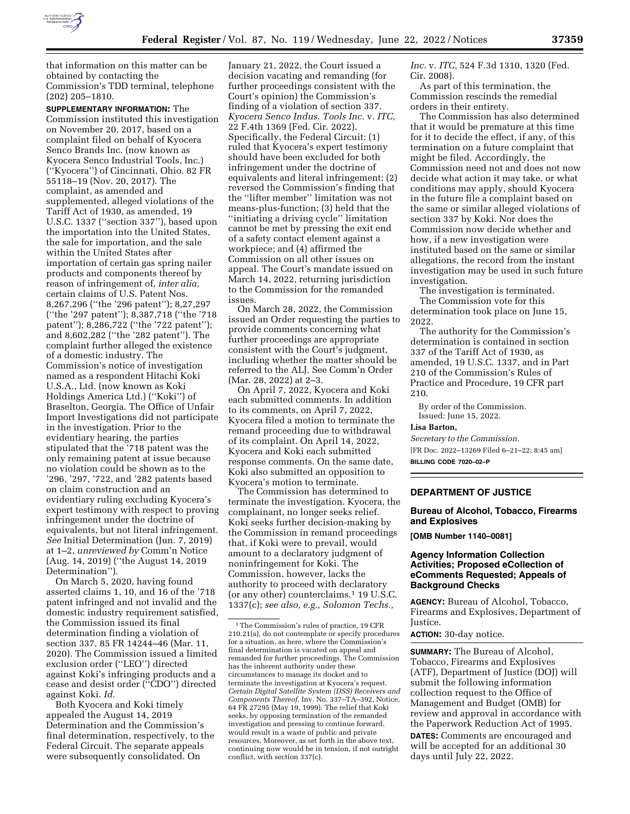

that information on this matter can be obtained by contacting the Commission's TDD terminal, telephone (202) 205–1810.

**SUPPLEMENTARY INFORMATION:** The Commission instituted this investigation on November 20, 2017, based on a complaint filed on behalf of Kyocera Senco Brands Inc. (now known as Kyocera Senco Industrial Tools, Inc.) (''Kyocera'') of Cincinnati, Ohio. 82 FR 55118–19 (Nov. 20, 2017). The complaint, as amended and supplemented, alleged violations of the Tariff Act of 1930, as amended, 19 U.S.C. 1337 (''section 337''), based upon the importation into the United States, the sale for importation, and the sale within the United States after importation of certain gas spring nailer products and components thereof by reason of infringement of, *inter alia,*  certain claims of U.S. Patent Nos. 8,267,296 (''the '296 patent''); 8,27,297 (''the '297 patent''); 8,387,718 (''the '718 patent"); 8,286,722 ("the '722 patent"); and 8,602,282 (''the '282 patent''). The complaint further alleged the existence of a domestic industry. The Commission's notice of investigation named as a respondent Hitachi Koki U.S.A., Ltd. (now known as Koki Holdings America Ltd.) (''Koki'') of Braselton, Georgia. The Office of Unfair Import Investigations did not participate in the investigation. Prior to the evidentiary hearing, the parties stipulated that the '718 patent was the only remaining patent at issue because no violation could be shown as to the '296, '297, '722, and '282 patents based on claim construction and an evidentiary ruling excluding Kyocera's expert testimony with respect to proving infringement under the doctrine of equivalents, but not literal infringement. *See* Initial Determination (Jun. 7, 2019) at 1–2, *unreviewed by* Comm'n Notice (Aug. 14, 2019) (''the August 14, 2019 Determination'').

On March 5, 2020, having found asserted claims 1, 10, and 16 of the '718 patent infringed and not invalid and the domestic industry requirement satisfied, the Commission issued its final determination finding a violation of section 337. 85 FR 14244–46 (Mar. 11, 2020). The Commission issued a limited exclusion order (''LEO'') directed against Koki's infringing products and a cease and desist order (''CDO'') directed against Koki. *Id.* 

Both Kyocera and Koki timely appealed the August 14, 2019 Determination and the Commission's final determination, respectively, to the Federal Circuit. The separate appeals were subsequently consolidated. On

January 21, 2022, the Court issued a decision vacating and remanding (for further proceedings consistent with the Court's opinion) the Commission's finding of a violation of section 337. *Kyocera Senco Indus. Tools Inc.* v. *ITC,*  22 F.4th 1369 (Fed. Cir. 2022). Specifically, the Federal Circuit: (1) ruled that Kyocera's expert testimony should have been excluded for both infringement under the doctrine of equivalents and literal infringement; (2) reversed the Commission's finding that the ''lifter member'' limitation was not means-plus-function; (3) held that the ''initiating a driving cycle'' limitation cannot be met by pressing the exit end of a safety contact element against a workpiece; and (4) affirmed the Commission on all other issues on appeal. The Court's mandate issued on March 14, 2022, returning jurisdiction to the Commission for the remanded issues.

On March 28, 2022, the Commission issued an Order requesting the parties to provide comments concerning what further proceedings are appropriate consistent with the Court's judgment, including whether the matter should be referred to the ALJ. See Comm'n Order (Mar. 28, 2022) at 2–3.

On April 7, 2022, Kyocera and Koki each submitted comments. In addition to its comments, on April 7, 2022, Kyocera filed a motion to terminate the remand proceeding due to withdrawal of its complaint. On April 14, 2022, Kyocera and Koki each submitted response comments. On the same date, Koki also submitted an opposition to Kyocera's motion to terminate.

The Commission has determined to terminate the investigation. Kyocera, the complainant, no longer seeks relief. Koki seeks further decision-making by the Commission in remand proceedings that, if Koki were to prevail, would amount to a declaratory judgment of noninfringement for Koki. The Commission, however, lacks the authority to proceed with declaratory (or any other) counterclaims.1 19 U.S.C. 1337(c); *see also, e.g., Solomon Techs.,* 

*Inc.* v. *ITC,* 524 F.3d 1310, 1320 (Fed. Cir. 2008).

As part of this termination, the Commission rescinds the remedial orders in their entirety.

The Commission has also determined that it would be premature at this time for it to decide the effect, if any, of this termination on a future complaint that might be filed. Accordingly, the Commission need not and does not now decide what action it may take, or what conditions may apply, should Kyocera in the future file a complaint based on the same or similar alleged violations of section 337 by Koki. Nor does the Commission now decide whether and how, if a new investigation were instituted based on the same or similar allegations, the record from the instant investigation may be used in such future investigation.

The investigation is terminated. The Commission vote for this determination took place on June 15, 2022.

The authority for the Commission's determination is contained in section 337 of the Tariff Act of 1930, as amended, 19 U.S.C. 1337, and in Part 210 of the Commission's Rules of Practice and Procedure, 19 CFR part 210.

By order of the Commission. Issued: June 15, 2022.

### **Lisa Barton,**

*Secretary to the Commission.*  [FR Doc. 2022–13269 Filed 6–21–22; 8:45 am] **BILLING CODE 7020–02–P** 

### **DEPARTMENT OF JUSTICE**

## **Bureau of Alcohol, Tobacco, Firearms and Explosives**

**[OMB Number 1140–0081]** 

## **Agency Information Collection Activities; Proposed eCollection of eComments Requested; Appeals of Background Checks**

**AGENCY:** Bureau of Alcohol, Tobacco, Firearms and Explosives, Department of Justice.

**ACTION:** 30-day notice.

**SUMMARY:** The Bureau of Alcohol, Tobacco, Firearms and Explosives (ATF), Department of Justice (DOJ) will submit the following information collection request to the Office of Management and Budget (OMB) for review and approval in accordance with the Paperwork Reduction Act of 1995.

**DATES:** Comments are encouraged and will be accepted for an additional 30 days until July 22, 2022.

<sup>1</sup>The Commission's rules of practice, 19 CFR 210.21(a), do not contemplate or specify procedures for a situation, as here, where the Commission's final determination is vacated on appeal and remanded for further proceedings. The Commission has the inherent authority under these circumstances to manage its docket and to terminate the investigation at Kyocera's request. *Certain Digital Satellite System (DSS) Receivers and Components Thereof,* Inv. No. 337–TA–392, Notice, 64 FR 27295 (May 19, 1999). The relief that Koki seeks, by opposing termination of the remanded investigation and pressing to continue forward, would result in a waste of public and private resources. Moreover, as set forth in the above text, continuing now would be in tension, if not outright conflict, with section 337(c).